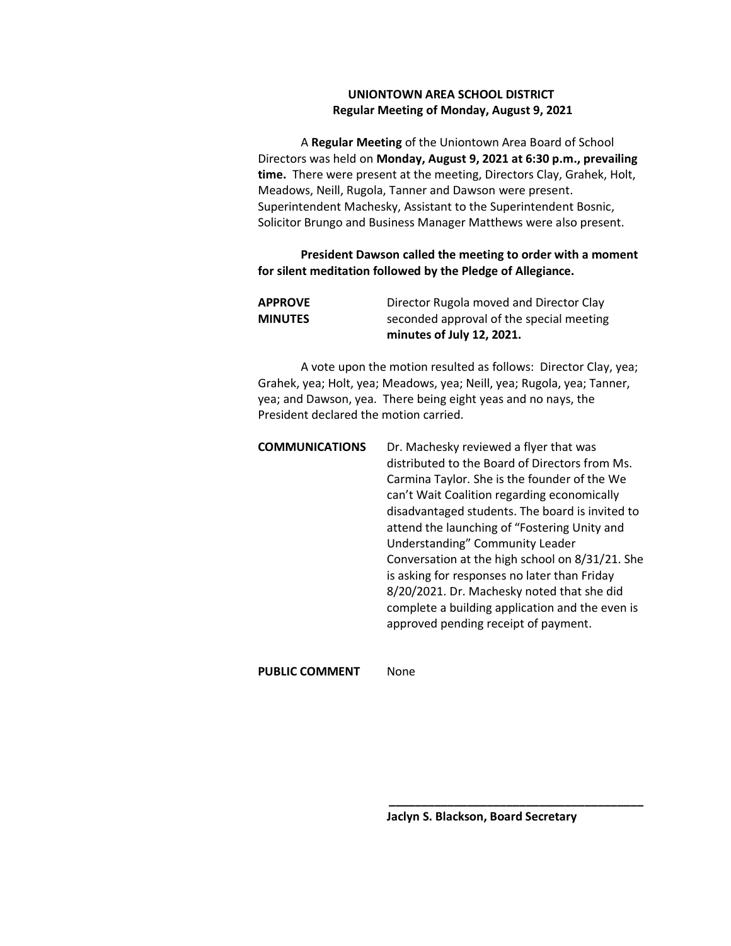## **UNIONTOWN AREA SCHOOL DISTRICT Regular Meeting of Monday, August 9, 2021**

A **Regular Meeting** of the Uniontown Area Board of School Directors was held on **Monday, August 9, 2021 at 6:30 p.m., prevailing time.** There were present at the meeting, Directors Clay, Grahek, Holt, Meadows, Neill, Rugola, Tanner and Dawson were present. Superintendent Machesky, Assistant to the Superintendent Bosnic, Solicitor Brungo and Business Manager Matthews were also present.

## **President Dawson called the meeting to order with a moment for silent meditation followed by the Pledge of Allegiance.**

|                | minutes of July 12, 2021.                |
|----------------|------------------------------------------|
| <b>MINUTES</b> | seconded approval of the special meeting |
| <b>APPROVE</b> | Director Rugola moved and Director Clay  |

A vote upon the motion resulted as follows: Director Clay, yea; Grahek, yea; Holt, yea; Meadows, yea; Neill, yea; Rugola, yea; Tanner, yea; and Dawson, yea. There being eight yeas and no nays, the President declared the motion carried.

| <b>COMMUNICATIONS</b> | Dr. Machesky reviewed a flyer that was          |
|-----------------------|-------------------------------------------------|
|                       | distributed to the Board of Directors from Ms.  |
|                       | Carmina Taylor. She is the founder of the We    |
|                       | can't Wait Coalition regarding economically     |
|                       | disadvantaged students. The board is invited to |
|                       | attend the launching of "Fostering Unity and    |
|                       | Understanding" Community Leader                 |
|                       | Conversation at the high school on 8/31/21. She |
|                       | is asking for responses no later than Friday    |
|                       | 8/20/2021. Dr. Machesky noted that she did      |
|                       | complete a building application and the even is |
|                       | approved pending receipt of payment.            |
|                       |                                                 |

**PUBLIC COMMENT** None

**Jaclyn S. Blackson, Board Secretary**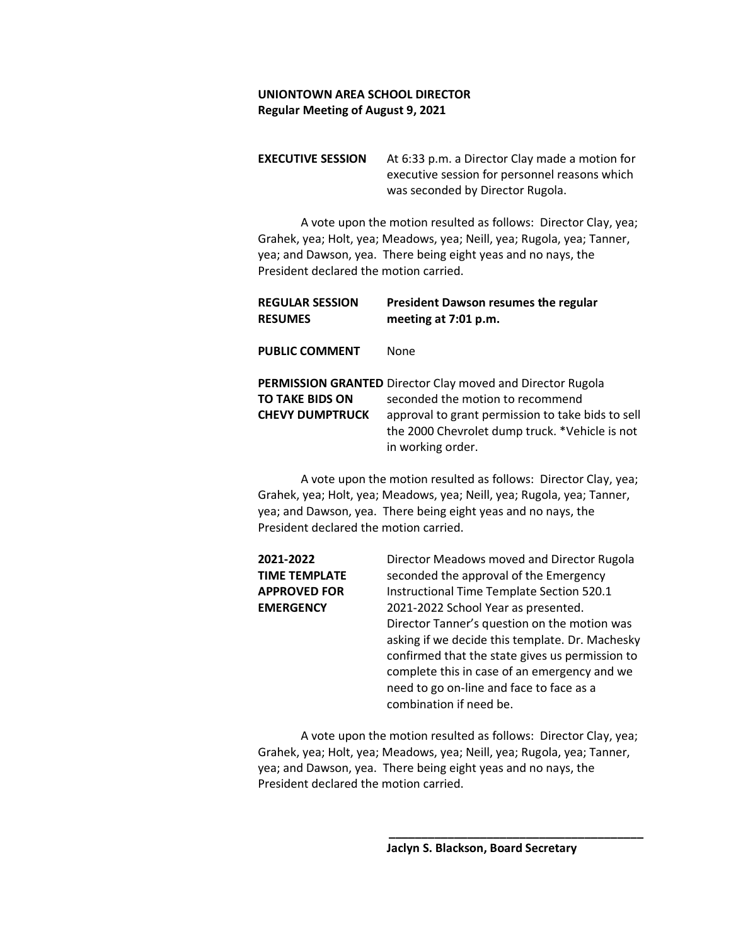**EXECUTIVE SESSION** At 6:33 p.m. a Director Clay made a motion for executive session for personnel reasons which was seconded by Director Rugola.

A vote upon the motion resulted as follows: Director Clay, yea; Grahek, yea; Holt, yea; Meadows, yea; Neill, yea; Rugola, yea; Tanner, yea; and Dawson, yea. There being eight yeas and no nays, the President declared the motion carried.

| <b>REGULAR SESSION</b><br><b>RESUMES</b>         | President Dawson resumes the regular<br>meeting at 7:01 p.m.                                                                                                                                                               |
|--------------------------------------------------|----------------------------------------------------------------------------------------------------------------------------------------------------------------------------------------------------------------------------|
| <b>PUBLIC COMMENT</b>                            | <b>None</b>                                                                                                                                                                                                                |
| <b>TO TAKE BIDS ON</b><br><b>CHEVY DUMPTRUCK</b> | PERMISSION GRANTED Director Clay moved and Director Rugola<br>seconded the motion to recommend<br>approval to grant permission to take bids to sell<br>the 2000 Chevrolet dump truck. *Vehicle is not<br>in working order. |

A vote upon the motion resulted as follows: Director Clay, yea; Grahek, yea; Holt, yea; Meadows, yea; Neill, yea; Rugola, yea; Tanner, yea; and Dawson, yea. There being eight yeas and no nays, the President declared the motion carried.

| 2021-2022            | Director Meadows moved and Director Rugola      |
|----------------------|-------------------------------------------------|
| <b>TIME TEMPLATE</b> | seconded the approval of the Emergency          |
| <b>APPROVED FOR</b>  | Instructional Time Template Section 520.1       |
| <b>EMERGENCY</b>     | 2021-2022 School Year as presented.             |
|                      | Director Tanner's question on the motion was    |
|                      | asking if we decide this template. Dr. Machesky |
|                      | confirmed that the state gives us permission to |
|                      | complete this in case of an emergency and we    |
|                      | need to go on-line and face to face as a        |
|                      | combination if need be.                         |
|                      |                                                 |

A vote upon the motion resulted as follows: Director Clay, yea; Grahek, yea; Holt, yea; Meadows, yea; Neill, yea; Rugola, yea; Tanner, yea; and Dawson, yea. There being eight yeas and no nays, the President declared the motion carried.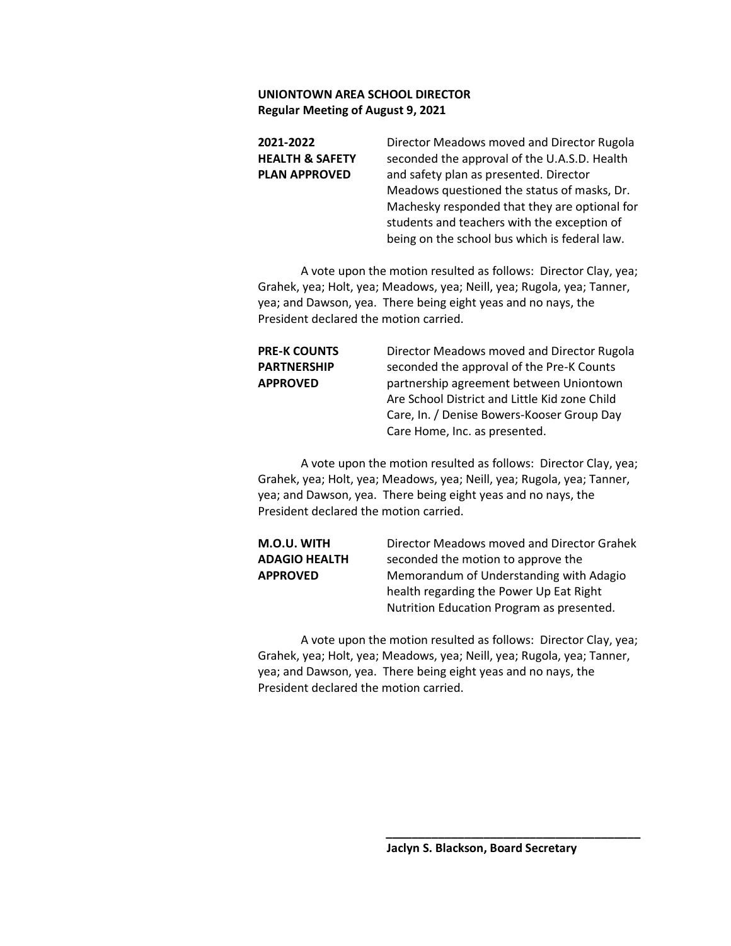| 2021-2022                  | Director Meadows moved and Director Rugola    |
|----------------------------|-----------------------------------------------|
| <b>HEALTH &amp; SAFETY</b> | seconded the approval of the U.A.S.D. Health  |
| <b>PLAN APPROVED</b>       | and safety plan as presented. Director        |
|                            | Meadows questioned the status of masks, Dr.   |
|                            | Machesky responded that they are optional for |
|                            | students and teachers with the exception of   |
|                            | being on the school bus which is federal law. |

A vote upon the motion resulted as follows: Director Clay, yea; Grahek, yea; Holt, yea; Meadows, yea; Neill, yea; Rugola, yea; Tanner, yea; and Dawson, yea. There being eight yeas and no nays, the President declared the motion carried.

**PRE-K COUNTS** Director Meadows moved and Director Rugola **PARTNERSHIP** seconded the approval of the Pre-K Counts **APPROVED** partnership agreement between Uniontown Are School District and Little Kid zone Child Care, In. / Denise Bowers-Kooser Group Day Care Home, Inc. as presented.

A vote upon the motion resulted as follows: Director Clay, yea; Grahek, yea; Holt, yea; Meadows, yea; Neill, yea; Rugola, yea; Tanner, yea; and Dawson, yea. There being eight yeas and no nays, the President declared the motion carried.

**M.O.U. WITH** Director Meadows moved and Director Grahek **ADAGIO HEALTH** seconded the motion to approve the **APPROVED** Memorandum of Understanding with Adagio health regarding the Power Up Eat Right Nutrition Education Program as presented.

A vote upon the motion resulted as follows: Director Clay, yea; Grahek, yea; Holt, yea; Meadows, yea; Neill, yea; Rugola, yea; Tanner, yea; and Dawson, yea. There being eight yeas and no nays, the President declared the motion carried.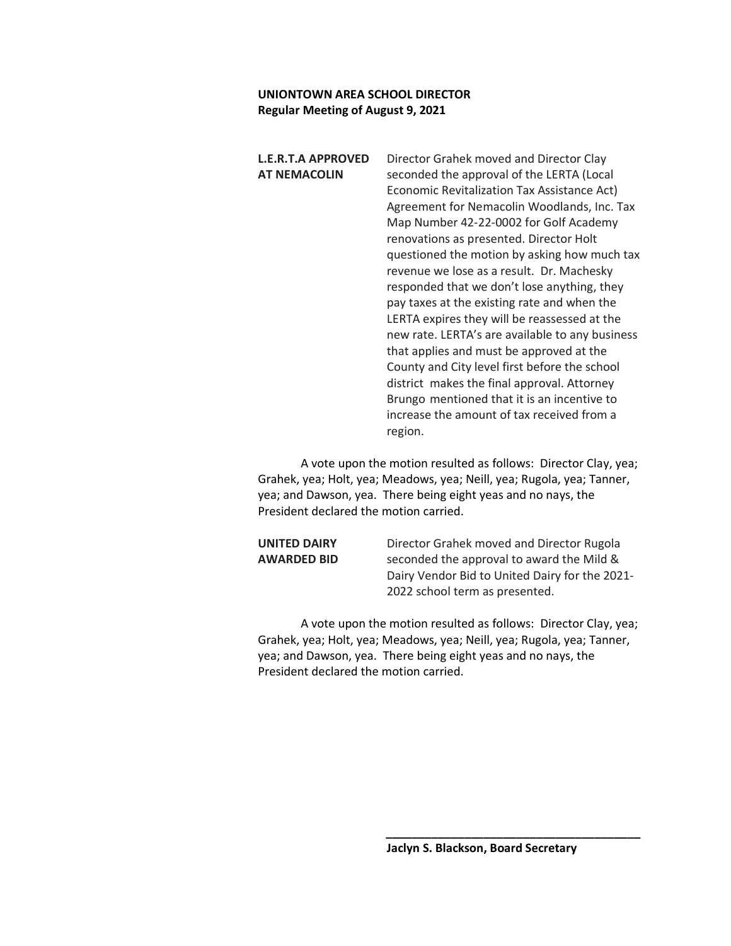**L.E.R.T.A APPROVED** Director Grahek moved and Director Clay **AT NEMACOLIN** seconded the approval of the LERTA (Local Economic Revitalization Tax Assistance Act) Agreement for Nemacolin Woodlands, Inc. Tax Map Number 42-22-0002 for Golf Academy renovations as presented. Director Holt questioned the motion by asking how much tax revenue we lose as a result. Dr. Machesky responded that we don't lose anything, they pay taxes at the existing rate and when the LERTA expires they will be reassessed at the new rate. LERTA's are available to any business that applies and must be approved at the County and City level first before the school district makes the final approval. Attorney Brungo mentioned that it is an incentive to increase the amount of tax received from a region.

A vote upon the motion resulted as follows: Director Clay, yea; Grahek, yea; Holt, yea; Meadows, yea; Neill, yea; Rugola, yea; Tanner, yea; and Dawson, yea. There being eight yeas and no nays, the President declared the motion carried.

**UNITED DAIRY** Director Grahek moved and Director Rugola **AWARDED BID** seconded the approval to award the Mild & Dairy Vendor Bid to United Dairy for the 2021- 2022 school term as presented.

A vote upon the motion resulted as follows: Director Clay, yea; Grahek, yea; Holt, yea; Meadows, yea; Neill, yea; Rugola, yea; Tanner, yea; and Dawson, yea. There being eight yeas and no nays, the President declared the motion carried.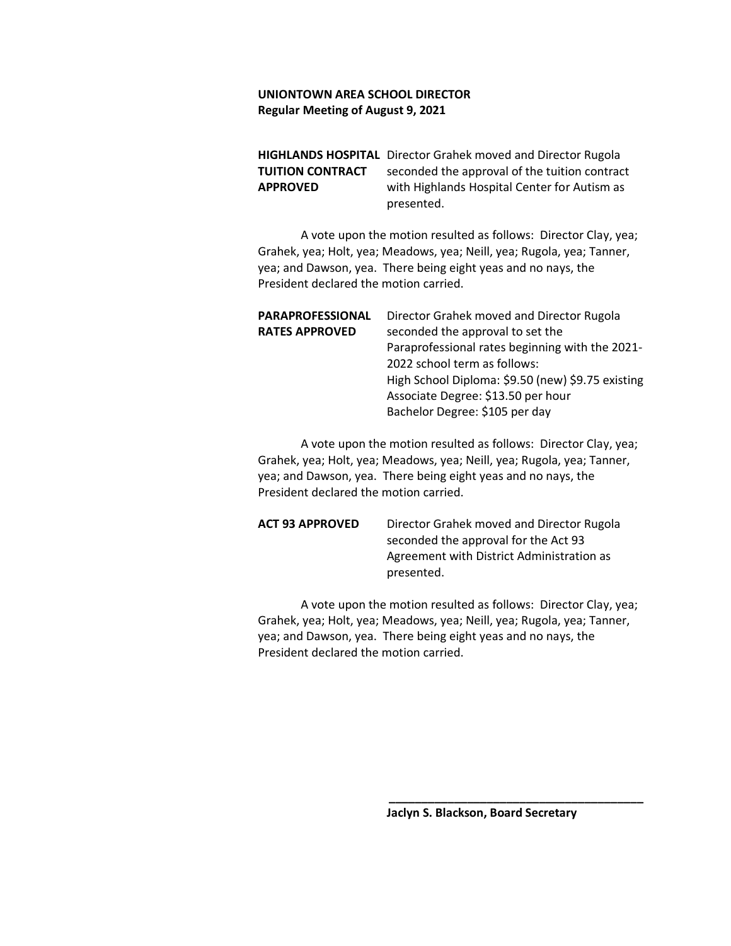**HIGHLANDS HOSPITAL** Director Grahek moved and Director Rugola **TUITION CONTRACT** seconded the approval of the tuition contract **APPROVED** with Highlands Hospital Center for Autism as presented.

A vote upon the motion resulted as follows: Director Clay, yea; Grahek, yea; Holt, yea; Meadows, yea; Neill, yea; Rugola, yea; Tanner, yea; and Dawson, yea. There being eight yeas and no nays, the President declared the motion carried.

| <b>PARAPROFESSIONAL</b> | Director Grahek moved and Director Rugola         |
|-------------------------|---------------------------------------------------|
| <b>RATES APPROVED</b>   | seconded the approval to set the                  |
|                         | Paraprofessional rates beginning with the 2021-   |
|                         | 2022 school term as follows:                      |
|                         | High School Diploma: \$9.50 (new) \$9.75 existing |
|                         | Associate Degree: \$13.50 per hour                |
|                         | Bachelor Degree: \$105 per day                    |
|                         |                                                   |

A vote upon the motion resulted as follows: Director Clay, yea; Grahek, yea; Holt, yea; Meadows, yea; Neill, yea; Rugola, yea; Tanner, yea; and Dawson, yea. There being eight yeas and no nays, the President declared the motion carried.

**ACT 93 APPROVED** Director Grahek moved and Director Rugola seconded the approval for the Act 93 Agreement with District Administration as presented.

A vote upon the motion resulted as follows: Director Clay, yea; Grahek, yea; Holt, yea; Meadows, yea; Neill, yea; Rugola, yea; Tanner, yea; and Dawson, yea. There being eight yeas and no nays, the President declared the motion carried.

**Jaclyn S. Blackson, Board Secretary**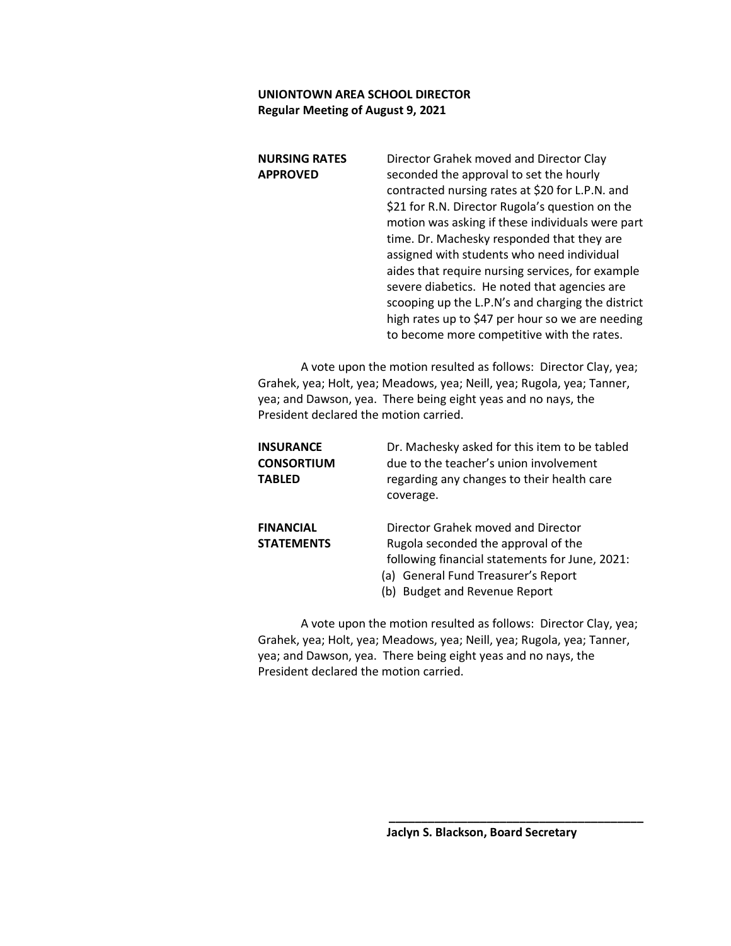| <b>NURSING RATES</b> | Director Grahek moved and Director Clay           |
|----------------------|---------------------------------------------------|
| <b>APPROVED</b>      | seconded the approval to set the hourly           |
|                      | contracted nursing rates at \$20 for L.P.N. and   |
|                      | \$21 for R.N. Director Rugola's question on the   |
|                      | motion was asking if these individuals were part  |
|                      | time. Dr. Machesky responded that they are        |
|                      | assigned with students who need individual        |
|                      | aides that require nursing services, for example  |
|                      | severe diabetics. He noted that agencies are      |
|                      | scooping up the L.P.N's and charging the district |
|                      | high rates up to \$47 per hour so we are needing  |
|                      | to become more competitive with the rates.        |

A vote upon the motion resulted as follows: Director Clay, yea; Grahek, yea; Holt, yea; Meadows, yea; Neill, yea; Rugola, yea; Tanner, yea; and Dawson, yea. There being eight yeas and no nays, the President declared the motion carried.

| INSURANCE<br><b>CONSORTIUM</b><br>TABLED | Dr. Machesky asked for this item to be tabled<br>due to the teacher's union involvement<br>regarding any changes to their health care<br>coverage.                                                  |
|------------------------------------------|-----------------------------------------------------------------------------------------------------------------------------------------------------------------------------------------------------|
| <b>FINANCIAL</b><br>STATEMENTS           | Director Grahek moved and Director<br>Rugola seconded the approval of the<br>following financial statements for June, 2021:<br>(a) General Fund Treasurer's Report<br>(b) Budget and Revenue Report |

A vote upon the motion resulted as follows: Director Clay, yea; Grahek, yea; Holt, yea; Meadows, yea; Neill, yea; Rugola, yea; Tanner, yea; and Dawson, yea. There being eight yeas and no nays, the President declared the motion carried.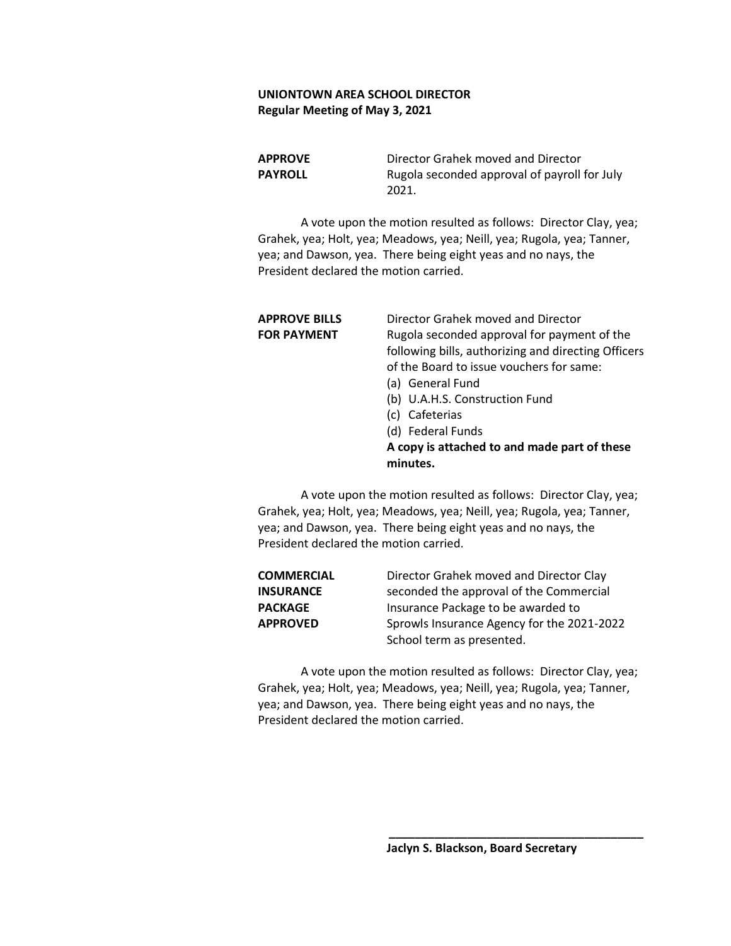**APPROVE** Director Grahek moved and Director **PAYROLL** Rugola seconded approval of payroll for July 2021.

A vote upon the motion resulted as follows: Director Clay, yea; Grahek, yea; Holt, yea; Meadows, yea; Neill, yea; Rugola, yea; Tanner, yea; and Dawson, yea. There being eight yeas and no nays, the President declared the motion carried.

| Rugola seconded approval for payment of the         |
|-----------------------------------------------------|
| following bills, authorizing and directing Officers |
|                                                     |
|                                                     |
|                                                     |
|                                                     |
|                                                     |
| A copy is attached to and made part of these        |
|                                                     |
|                                                     |

A vote upon the motion resulted as follows: Director Clay, yea; Grahek, yea; Holt, yea; Meadows, yea; Neill, yea; Rugola, yea; Tanner, yea; and Dawson, yea. There being eight yeas and no nays, the President declared the motion carried.

| <b>COMMERCIAL</b> | Director Grahek moved and Director Clay    |
|-------------------|--------------------------------------------|
| INSURANCE         | seconded the approval of the Commercial    |
| <b>PACKAGE</b>    | Insurance Package to be awarded to         |
| <b>APPROVED</b>   | Sprowls Insurance Agency for the 2021-2022 |
|                   | School term as presented.                  |

A vote upon the motion resulted as follows: Director Clay, yea; Grahek, yea; Holt, yea; Meadows, yea; Neill, yea; Rugola, yea; Tanner, yea; and Dawson, yea. There being eight yeas and no nays, the President declared the motion carried.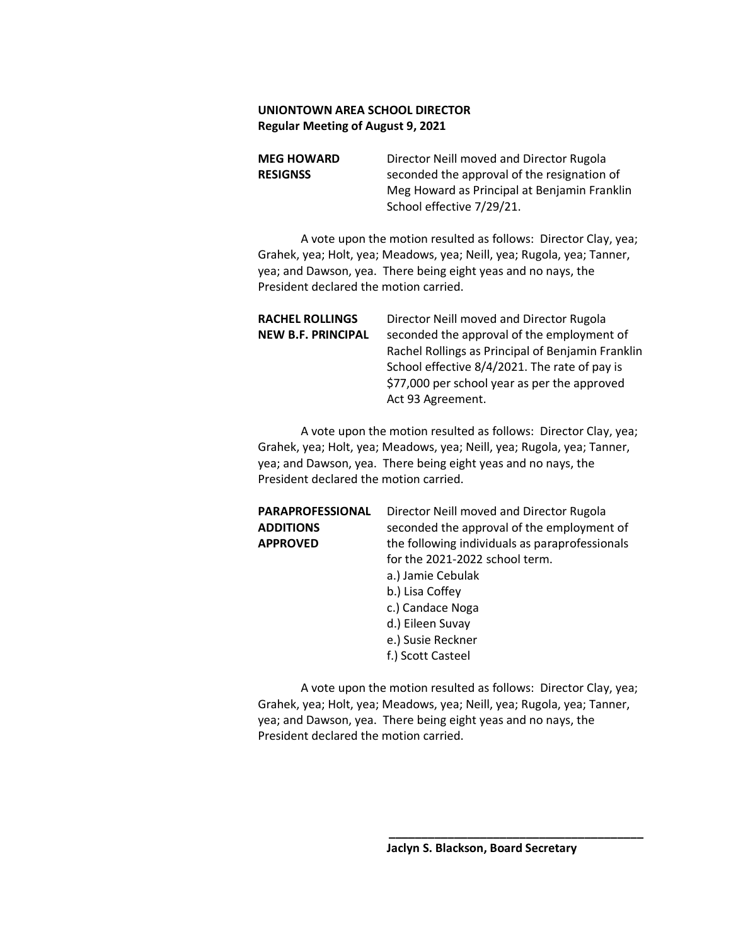**MEG HOWARD** Director Neill moved and Director Rugola **RESIGNSS** seconded the approval of the resignation of Meg Howard as Principal at Benjamin Franklin School effective 7/29/21.

A vote upon the motion resulted as follows: Director Clay, yea; Grahek, yea; Holt, yea; Meadows, yea; Neill, yea; Rugola, yea; Tanner, yea; and Dawson, yea. There being eight yeas and no nays, the President declared the motion carried.

| <b>RACHEL ROLLINGS</b>    | Director Neill moved and Director Rugola                                                                                                                                |
|---------------------------|-------------------------------------------------------------------------------------------------------------------------------------------------------------------------|
| <b>NEW B.F. PRINCIPAL</b> | seconded the approval of the employment of                                                                                                                              |
|                           | Rachel Rollings as Principal of Benjamin Franklin<br>School effective 8/4/2021. The rate of pay is<br>\$77,000 per school year as per the approved<br>Act 93 Agreement. |

A vote upon the motion resulted as follows: Director Clay, yea; Grahek, yea; Holt, yea; Meadows, yea; Neill, yea; Rugola, yea; Tanner, yea; and Dawson, yea. There being eight yeas and no nays, the President declared the motion carried.

| PARAPROFESSIONAL | Director Neill moved and Director Rugola       |
|------------------|------------------------------------------------|
| <b>ADDITIONS</b> | seconded the approval of the employment of     |
| APPROVED         | the following individuals as paraprofessionals |
|                  | for the 2021-2022 school term.                 |
|                  | a.) Jamie Cebulak                              |
|                  | b.) Lisa Coffey                                |
|                  | c.) Candace Noga                               |
|                  | d.) Eileen Suvay                               |
|                  | e.) Susie Reckner                              |
|                  | f.) Scott Casteel                              |
|                  |                                                |
|                  |                                                |

A vote upon the motion resulted as follows: Director Clay, yea; Grahek, yea; Holt, yea; Meadows, yea; Neill, yea; Rugola, yea; Tanner, yea; and Dawson, yea. There being eight yeas and no nays, the President declared the motion carried.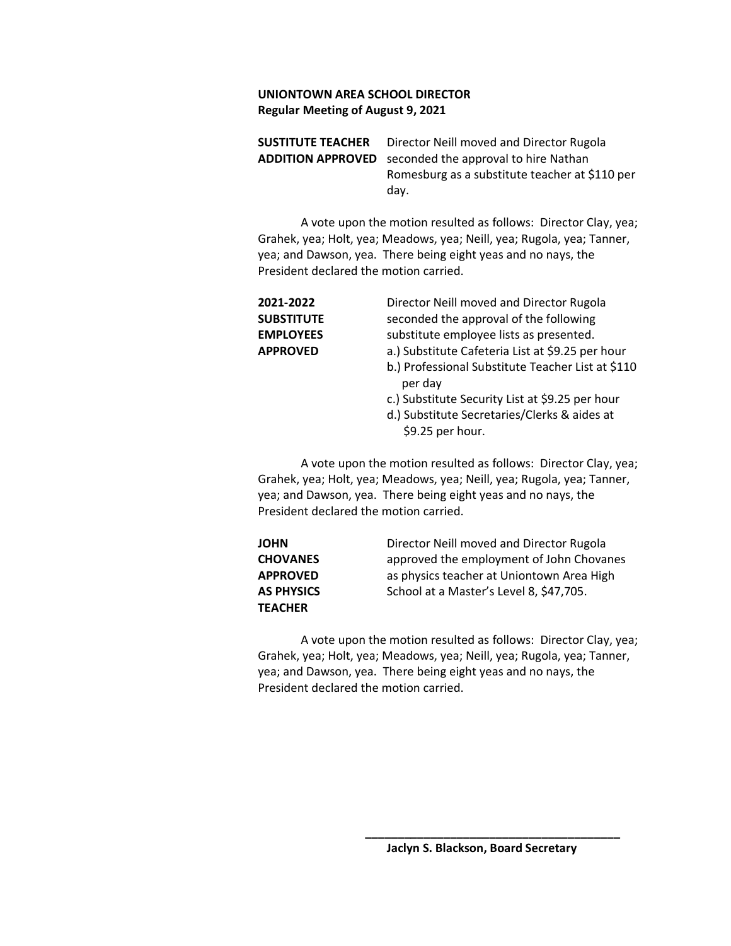**SUSTITUTE TEACHER** Director Neill moved and Director Rugola **ADDITION APPROVED** seconded the approval to hire Nathan Romesburg as a substitute teacher at \$110 per day.

A vote upon the motion resulted as follows: Director Clay, yea; Grahek, yea; Holt, yea; Meadows, yea; Neill, yea; Rugola, yea; Tanner, yea; and Dawson, yea. There being eight yeas and no nays, the President declared the motion carried.

**2021-2022** Director Neill moved and Director Rugola **SUBSTITUTE** seconded the approval of the following **EMPLOYEES** substitute employee lists as presented. **APPROVED** a.) Substitute Cafeteria List at \$9.25 per hour b.) Professional Substitute Teacher List at \$110 per day c.) Substitute Security List at \$9.25 per hour d.) Substitute Secretaries/Clerks & aides at \$9.25 per hour.

A vote upon the motion resulted as follows: Director Clay, yea; Grahek, yea; Holt, yea; Meadows, yea; Neill, yea; Rugola, yea; Tanner, yea; and Dawson, yea. There being eight yeas and no nays, the President declared the motion carried.

| JOHN              | Director Neill moved and Director Rugola  |
|-------------------|-------------------------------------------|
| <b>CHOVANES</b>   | approved the employment of John Chovanes  |
| <b>APPROVED</b>   | as physics teacher at Uniontown Area High |
| <b>AS PHYSICS</b> | School at a Master's Level 8, \$47,705.   |
| TEACHER           |                                           |

A vote upon the motion resulted as follows: Director Clay, yea; Grahek, yea; Holt, yea; Meadows, yea; Neill, yea; Rugola, yea; Tanner, yea; and Dawson, yea. There being eight yeas and no nays, the President declared the motion carried.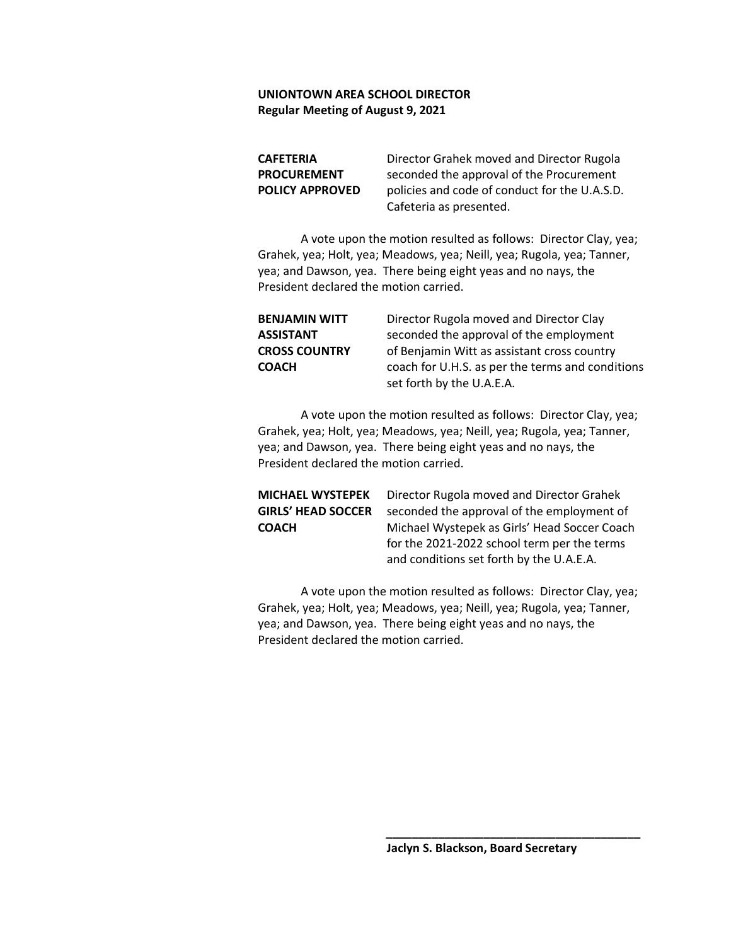**CAFETERIA** Director Grahek moved and Director Rugola **PROCUREMENT** seconded the approval of the Procurement **POLICY APPROVED** policies and code of conduct for the U.A.S.D. Cafeteria as presented.

A vote upon the motion resulted as follows: Director Clay, yea; Grahek, yea; Holt, yea; Meadows, yea; Neill, yea; Rugola, yea; Tanner, yea; and Dawson, yea. There being eight yeas and no nays, the President declared the motion carried.

| <b>BENJAMIN WITT</b> | Director Rugola moved and Director Clay          |
|----------------------|--------------------------------------------------|
| ASSISTANT            | seconded the approval of the employment          |
| <b>CROSS COUNTRY</b> | of Benjamin Witt as assistant cross country      |
| COACH                | coach for U.H.S. as per the terms and conditions |
|                      | set forth by the U.A.E.A.                        |

A vote upon the motion resulted as follows: Director Clay, yea; Grahek, yea; Holt, yea; Meadows, yea; Neill, yea; Rugola, yea; Tanner, yea; and Dawson, yea. There being eight yeas and no nays, the President declared the motion carried.

## **MICHAEL WYSTEPEK** Director Rugola moved and Director Grahek **GIRLS' HEAD SOCCER** seconded the approval of the employment of **COACH** Michael Wystepek as Girls' Head Soccer Coach for the 2021-2022 school term per the terms and conditions set forth by the U.A.E.A.

A vote upon the motion resulted as follows: Director Clay, yea; Grahek, yea; Holt, yea; Meadows, yea; Neill, yea; Rugola, yea; Tanner, yea; and Dawson, yea. There being eight yeas and no nays, the President declared the motion carried.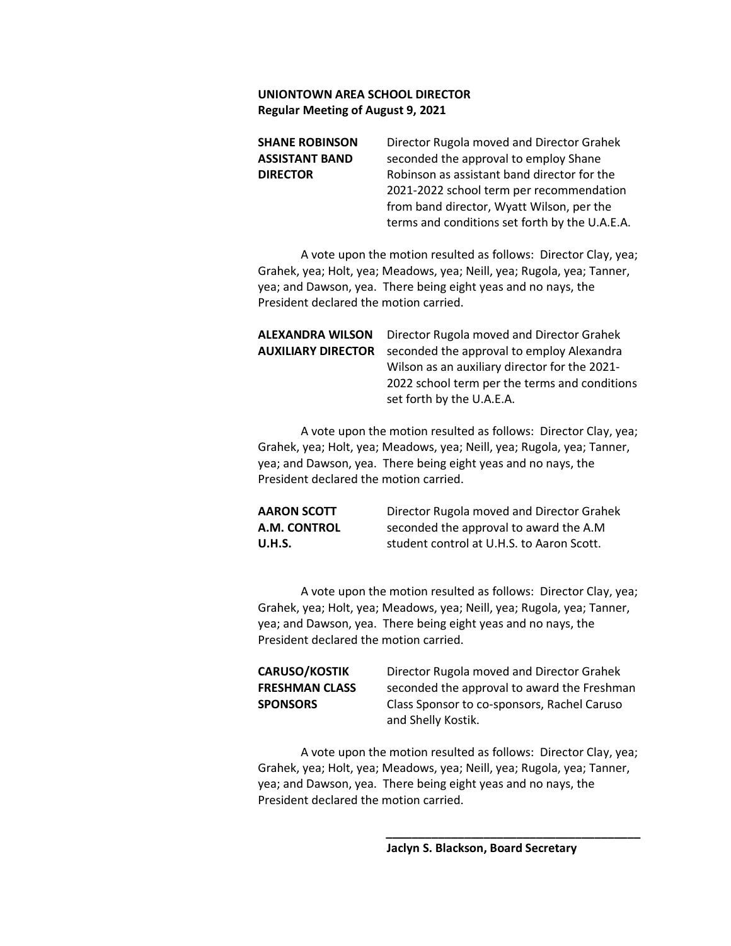| Director Rugola moved and Director Grahek      |
|------------------------------------------------|
| seconded the approval to employ Shane          |
| Robinson as assistant band director for the    |
| 2021-2022 school term per recommendation       |
| from band director, Wyatt Wilson, per the      |
| terms and conditions set forth by the U.A.E.A. |
|                                                |

A vote upon the motion resulted as follows: Director Clay, yea; Grahek, yea; Holt, yea; Meadows, yea; Neill, yea; Rugola, yea; Tanner, yea; and Dawson, yea. There being eight yeas and no nays, the President declared the motion carried.

| ALEXANDRA WILSON   | Director Rugola moved and Director Grahek     |
|--------------------|-----------------------------------------------|
| AUXILIARY DIRECTOR | seconded the approval to employ Alexandra     |
|                    | Wilson as an auxiliary director for the 2021- |
|                    | 2022 school term per the terms and conditions |
|                    | set forth by the U.A.E.A.                     |
|                    |                                               |

A vote upon the motion resulted as follows: Director Clay, yea; Grahek, yea; Holt, yea; Meadows, yea; Neill, yea; Rugola, yea; Tanner, yea; and Dawson, yea. There being eight yeas and no nays, the President declared the motion carried.

**AARON SCOTT** Director Rugola moved and Director Grahek **A.M. CONTROL** seconded the approval to award the A.M **U.H.S.** student control at U.H.S. to Aaron Scott.

A vote upon the motion resulted as follows: Director Clay, yea; Grahek, yea; Holt, yea; Meadows, yea; Neill, yea; Rugola, yea; Tanner, yea; and Dawson, yea. There being eight yeas and no nays, the President declared the motion carried.

# **CARUSO/KOSTIK** Director Rugola moved and Director Grahek

**FRESHMAN CLASS** seconded the approval to award the Freshman **SPONSORS** Class Sponsor to co-sponsors, Rachel Caruso and Shelly Kostik.

A vote upon the motion resulted as follows: Director Clay, yea; Grahek, yea; Holt, yea; Meadows, yea; Neill, yea; Rugola, yea; Tanner, yea; and Dawson, yea. There being eight yeas and no nays, the President declared the motion carried.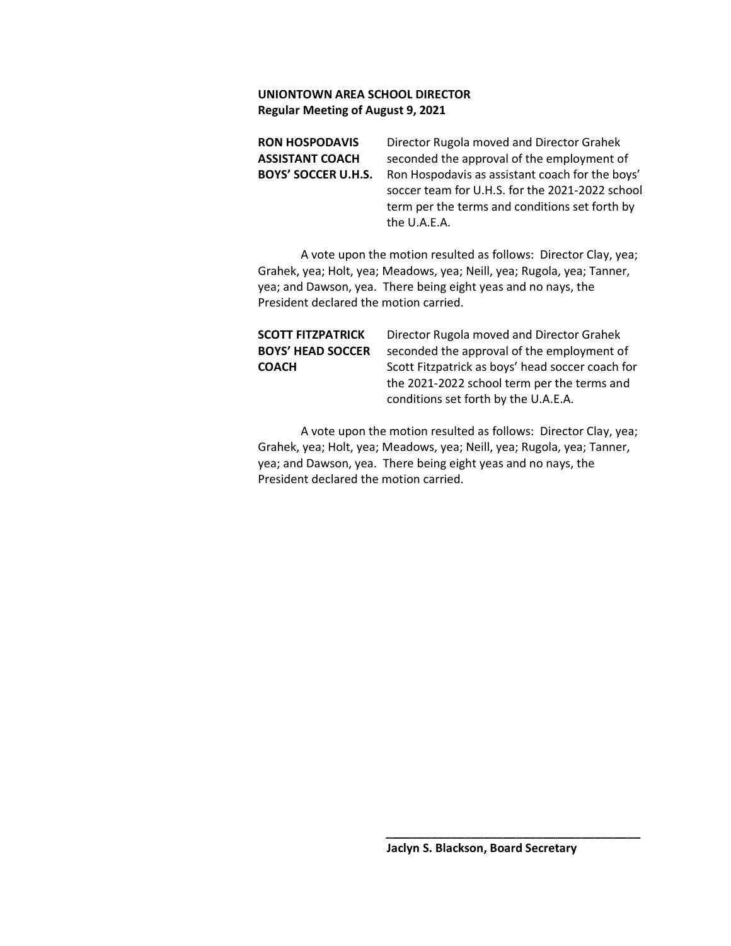**RON HOSPODAVIS** Director Rugola moved and Director Grahek **ASSISTANT COACH** seconded the approval of the employment of **BOYS' SOCCER U.H.S.** Ron Hospodavis as assistant coach for the boys' soccer team for U.H.S. for the 2021-2022 school term per the terms and conditions set forth by the U.A.E.A.

A vote upon the motion resulted as follows: Director Clay, yea; Grahek, yea; Holt, yea; Meadows, yea; Neill, yea; Rugola, yea; Tanner, yea; and Dawson, yea. There being eight yeas and no nays, the President declared the motion carried.

| SCOTT FITZPATRICK        | Director Rugola moved and Director Grahek        |
|--------------------------|--------------------------------------------------|
| <b>BOYS' HEAD SOCCER</b> | seconded the approval of the employment of       |
| <b>COACH</b>             | Scott Fitzpatrick as boys' head soccer coach for |
|                          | the 2021-2022 school term per the terms and      |
|                          | conditions set forth by the U.A.E.A.             |

A vote upon the motion resulted as follows: Director Clay, yea; Grahek, yea; Holt, yea; Meadows, yea; Neill, yea; Rugola, yea; Tanner, yea; and Dawson, yea. There being eight yeas and no nays, the President declared the motion carried.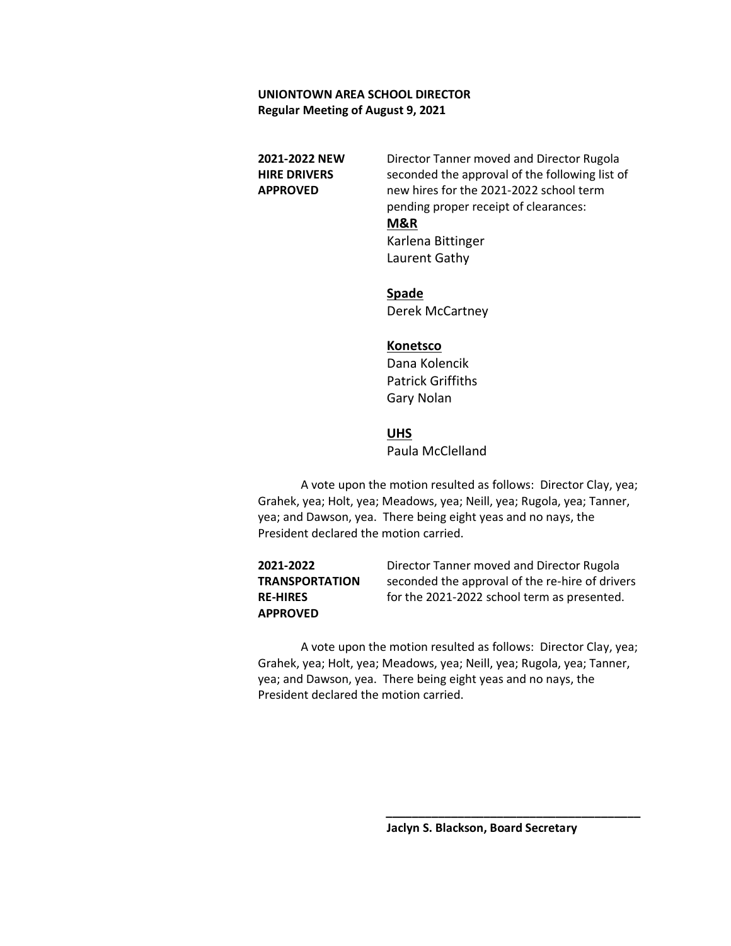**2021-2022 NEW** Director Tanner moved and Director Rugola **HIRE DRIVERS** seconded the approval of the following list of **APPROVED** new hires for the 2021-2022 school term pending proper receipt of clearances:

#### **M&R**

Karlena Bittinger Laurent Gathy

**Spade** Derek McCartney

#### **Konetsco**

Dana Kolencik Patrick Griffiths Gary Nolan

## **UHS**

Paula McClelland

A vote upon the motion resulted as follows: Director Clay, yea; Grahek, yea; Holt, yea; Meadows, yea; Neill, yea; Rugola, yea; Tanner, yea; and Dawson, yea. There being eight yeas and no nays, the President declared the motion carried.

**2021-2022** Director Tanner moved and Director Rugola **TRANSPORTATION** seconded the approval of the re-hire of drivers **RE-HIRES** for the 2021-2022 school term as presented. **APPROVED**

A vote upon the motion resulted as follows: Director Clay, yea; Grahek, yea; Holt, yea; Meadows, yea; Neill, yea; Rugola, yea; Tanner, yea; and Dawson, yea. There being eight yeas and no nays, the President declared the motion carried.

 **\_\_\_\_\_\_\_\_\_\_\_\_\_\_\_\_\_\_\_\_\_\_\_\_\_\_\_\_\_\_\_\_\_\_\_\_\_\_\_**

**Jaclyn S. Blackson, Board Secretary**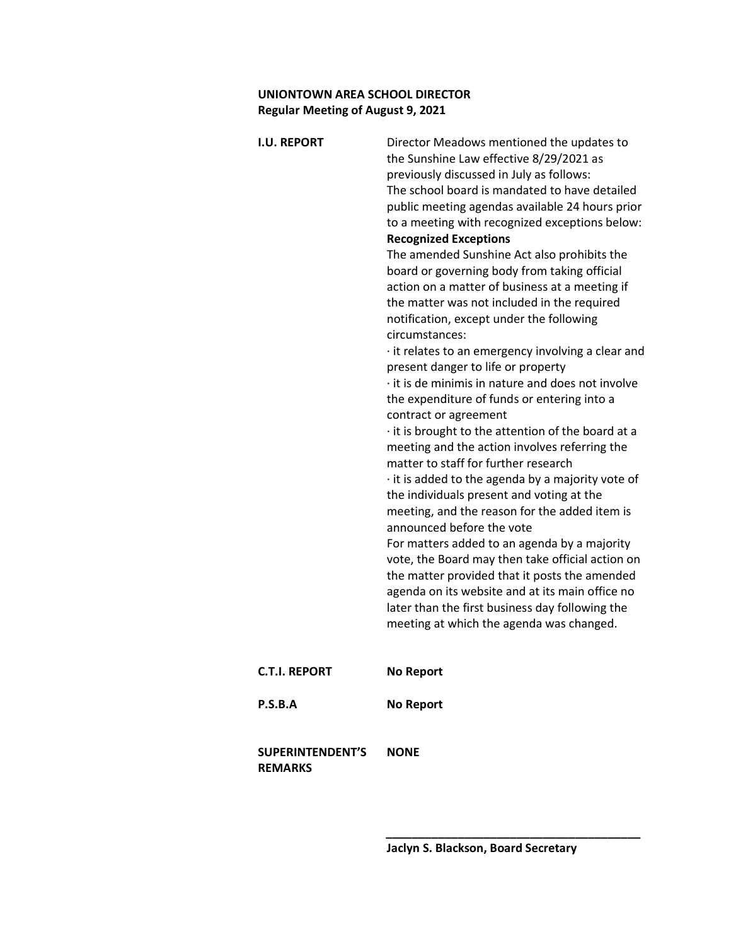| <b>I.U. REPORT</b>                        | Director Meadows mentioned the updates to<br>the Sunshine Law effective 8/29/2021 as<br>previously discussed in July as follows:<br>The school board is mandated to have detailed<br>public meeting agendas available 24 hours prior<br>to a meeting with recognized exceptions below:<br><b>Recognized Exceptions</b><br>The amended Sunshine Act also prohibits the<br>board or governing body from taking official<br>action on a matter of business at a meeting if<br>the matter was not included in the required<br>notification, except under the following<br>circumstances:<br>it relates to an emergency involving a clear and<br>present danger to life or property<br>it is de minimis in nature and does not involve<br>the expenditure of funds or entering into a<br>contract or agreement<br>· it is brought to the attention of the board at a<br>meeting and the action involves referring the<br>matter to staff for further research<br>it is added to the agenda by a majority vote of<br>the individuals present and voting at the<br>meeting, and the reason for the added item is<br>announced before the vote<br>For matters added to an agenda by a majority<br>vote, the Board may then take official action on<br>the matter provided that it posts the amended<br>agenda on its website and at its main office no<br>later than the first business day following the<br>meeting at which the agenda was changed. |
|-------------------------------------------|-----------------------------------------------------------------------------------------------------------------------------------------------------------------------------------------------------------------------------------------------------------------------------------------------------------------------------------------------------------------------------------------------------------------------------------------------------------------------------------------------------------------------------------------------------------------------------------------------------------------------------------------------------------------------------------------------------------------------------------------------------------------------------------------------------------------------------------------------------------------------------------------------------------------------------------------------------------------------------------------------------------------------------------------------------------------------------------------------------------------------------------------------------------------------------------------------------------------------------------------------------------------------------------------------------------------------------------------------------------------------------------------------------------------------------------------------|
| <b>C.T.I. REPORT</b>                      | <b>No Report</b>                                                                                                                                                                                                                                                                                                                                                                                                                                                                                                                                                                                                                                                                                                                                                                                                                                                                                                                                                                                                                                                                                                                                                                                                                                                                                                                                                                                                                              |
| P.S.B.A                                   | <b>No Report</b>                                                                                                                                                                                                                                                                                                                                                                                                                                                                                                                                                                                                                                                                                                                                                                                                                                                                                                                                                                                                                                                                                                                                                                                                                                                                                                                                                                                                                              |
| <b>SUPERINTENDENT'S</b><br><b>REMARKS</b> | <b>NONE</b>                                                                                                                                                                                                                                                                                                                                                                                                                                                                                                                                                                                                                                                                                                                                                                                                                                                                                                                                                                                                                                                                                                                                                                                                                                                                                                                                                                                                                                   |